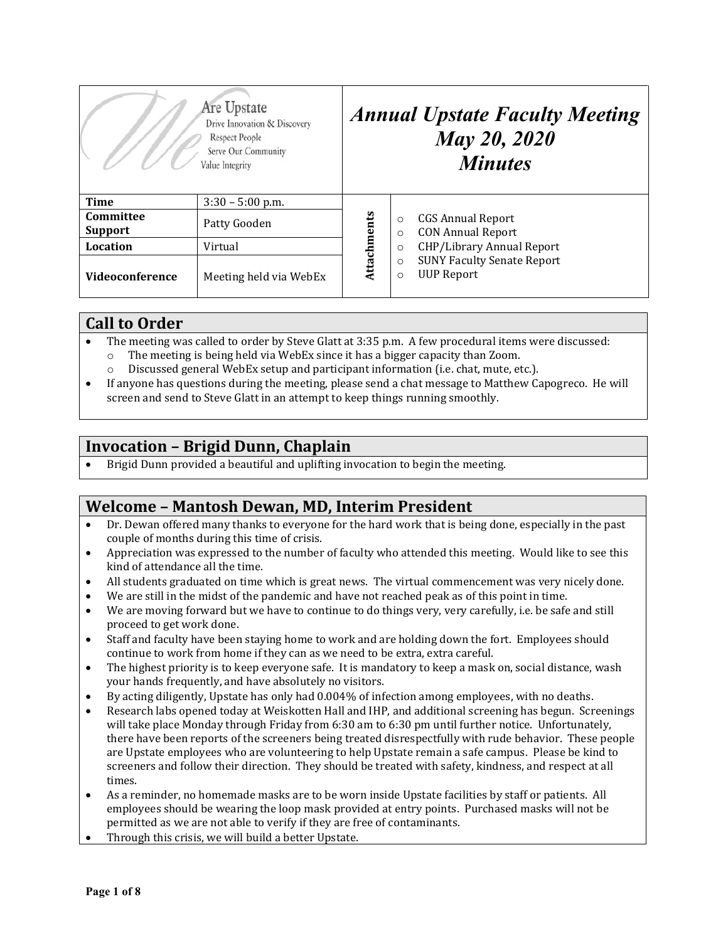| Are Upstate<br>Drive Innovation & Discovery<br>Respect People<br>Serve Our Community<br>Value Integrity |                        | <b>Annual Upstate Faculty Meeting</b><br><b>May 20, 2020</b><br><b>Minutes</b> |                    |                                                        |
|---------------------------------------------------------------------------------------------------------|------------------------|--------------------------------------------------------------------------------|--------------------|--------------------------------------------------------|
| <b>Time</b>                                                                                             | $3:30 - 5:00$ p.m.     |                                                                                |                    |                                                        |
| Committee<br><b>Support</b>                                                                             | Patty Gooden           | Attachments                                                                    | $\circ$<br>$\circ$ | <b>CGS Annual Report</b><br><b>CON Annual Report</b>   |
| Location                                                                                                | Virtual                |                                                                                | $\circ$            | CHP/Library Annual Report                              |
| <b>Videoconference</b>                                                                                  | Meeting held via WebEx |                                                                                | $\circ$<br>$\circ$ | <b>SUNY Faculty Senate Report</b><br><b>UUP Report</b> |

### **Call to Order**

- The meeting was called to order by Steve Glatt at 3:35 p.m. A few procedural items were discussed:<br>  $\circ$  The meeting is being held via WebEx since it has a bigger capacity than Zoom.
	- The meeting is being held via WebEx since it has a bigger capacity than Zoom. o Discussed general WebEx setup and participant information (i.e. chat, mute, etc.).
- If anyone has questions during the meeting, please send a chat message to Matthew Capogreco. He will screen and send to Steve Glatt in an attempt to keep things running smoothly.

## **Invocation – Brigid Dunn, Chaplain**

• Brigid Dunn provided a beautiful and uplifting invocation to begin the meeting.

### **Welcome – Mantosh Dewan, MD, Interim President**

- Dr. Dewan offered many thanks to everyone for the hard work that is being done, especially in the past couple of months during this time of crisis.
- Appreciation was expressed to the number of faculty who attended this meeting. Would like to see this kind of attendance all the time.
- All students graduated on time which is great news. The virtual commencement was very nicely done.
- We are still in the midst of the pandemic and have not reached peak as of this point in time.
- We are moving forward but we have to continue to do things very, very carefully, i.e. be safe and still proceed to get work done.
- Staff and faculty have been staying home to work and are holding down the fort. Employees should continue to work from home if they can as we need to be extra, extra careful.
- The highest priority is to keep everyone safe. It is mandatory to keep a mask on, social distance, wash your hands frequently, and have absolutely no visitors.
- By acting diligently, Upstate has only had 0.004% of infection among employees, with no deaths.<br>• Research labs opened today at Weiskotten Hall and IHP, and additional screening has begun. Scr
- Research labs opened today at Weiskotten Hall and IHP, and additional screening has begun. Screenings will take place Monday through Friday from 6:30 am to 6:30 pm until further notice. Unfortunately, there have been reports of the screeners being treated disrespectfully with rude behavior. These people are Upstate employees who are volunteering to help Upstate remain a safe campus. Please be kind to screeners and follow their direction. They should be treated with safety, kindness, and respect at all times.
- As a reminder, no homemade masks are to be worn inside Upstate facilities by staff or patients. All employees should be wearing the loop mask provided at entry points. Purchased masks will not be permitted as we are not able to verify if they are free of contaminants.
- Through this crisis, we will build a better Upstate.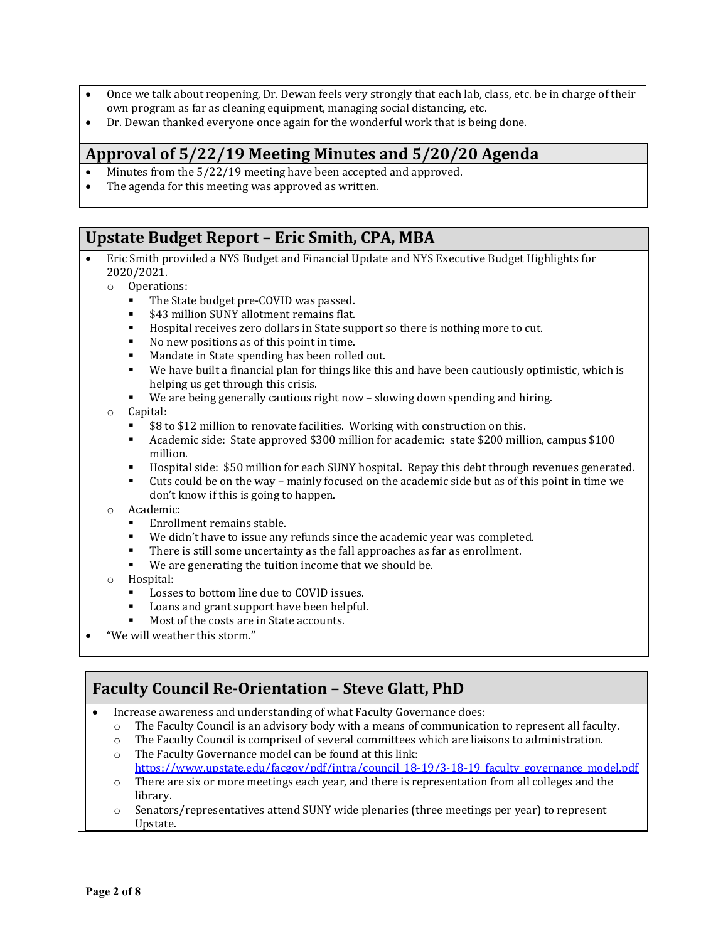- Once we talk about reopening, Dr. Dewan feels very strongly that each lab, class, etc. be in charge of their own program as far as cleaning equipment, managing social distancing, etc.
- Dr. Dewan thanked everyone once again for the wonderful work that is being done.

### **Approval of 5/22/19 Meeting Minutes and 5/20/20 Agenda**

- Minutes from the  $5/22/19$  meeting have been accepted and approved.<br>• The agenda for this meeting was approved as written.
- The agenda for this meeting was approved as written.

### **Upstate Budget Report – Eric Smith, CPA, MBA**

- Eric Smith provided a NYS Budget and Financial Update and NYS Executive Budget Highlights for 2020/2021.
	- o Operations:
		- The State budget pre-COVID was passed.
		-
		- **\$43 million SUNY allotment remains flat.**<br>**•** Hosnital receives zero dollars in State sup Hospital receives zero dollars in State support so there is nothing more to cut.<br>No new positions as of this point in time.
		- No new positions as of this point in time.<br>• Mandate in State spending has been rolle
		- Mandate in State spending has been rolled out.<br>■ We have built a financial plan for things like thi
		- We have built a financial plan for things like this and have been cautiously optimistic, which is helping us get through this crisis.
		- We are being generally cautious right now slowing down spending and hiring.

#### o Capital:

- \$8 to \$12 million to renovate facilities. Working with construction on this.
- Academic side: State approved \$300 million for academic: state \$200 million, campus \$100 million.
- Hospital side: \$50 million for each SUNY hospital. Repay this debt through revenues generated.<br>■ Cuts could be on the way mainly focused on the academic side but as of this point in time we
- Cuts could be on the way mainly focused on the academic side but as of this point in time we don't know if this is going to happen.
- o Academic:
	- Enrollment remains stable.
	- We didn't have to issue any refunds since the academic year was completed.<br>■ There is still some uncertainty as the fall approaches as far as enrollment.
	- There is still some uncertainty as the fall approaches as far as enrollment.<br>We are generating the tuition income that we should be
	- We are generating the tuition income that we should be.
- o Hospital:
	- Losses to bottom line due to COVID issues.<br>■ Loans and grant support have been helpful
	- Loans and grant support have been helpful.
	- Most of the costs are in State accounts.
- "We will weather this storm."

# **Faculty Council Re-Orientation – Steve Glatt, PhD**

- Increase awareness and understanding of what Faculty Governance does:
	- $\circ$  The Faculty Council is an advisory body with a means of communication to represent all faculty.<br>  $\circ$  The Faculty Council is comprised of several committees which are liaisons to administration.
	- The Faculty Council is comprised of several committees which are liaisons to administration.
	- o The Faculty Governance model can be found at this link: [https://www.upstate.edu/facgov/pdf/intra/council\\_18-19/3-18-19\\_faculty\\_governance\\_model.pdf](https://www.upstate.edu/facgov/pdf/intra/council_18-19/3-18-19_faculty_governance_model.pdf)
	- $\circ$  There are six or more meetings each year, and there is representation from all colleges and the library.
	- o Senators/representatives attend SUNY wide plenaries (three meetings per year) to represent Upstate.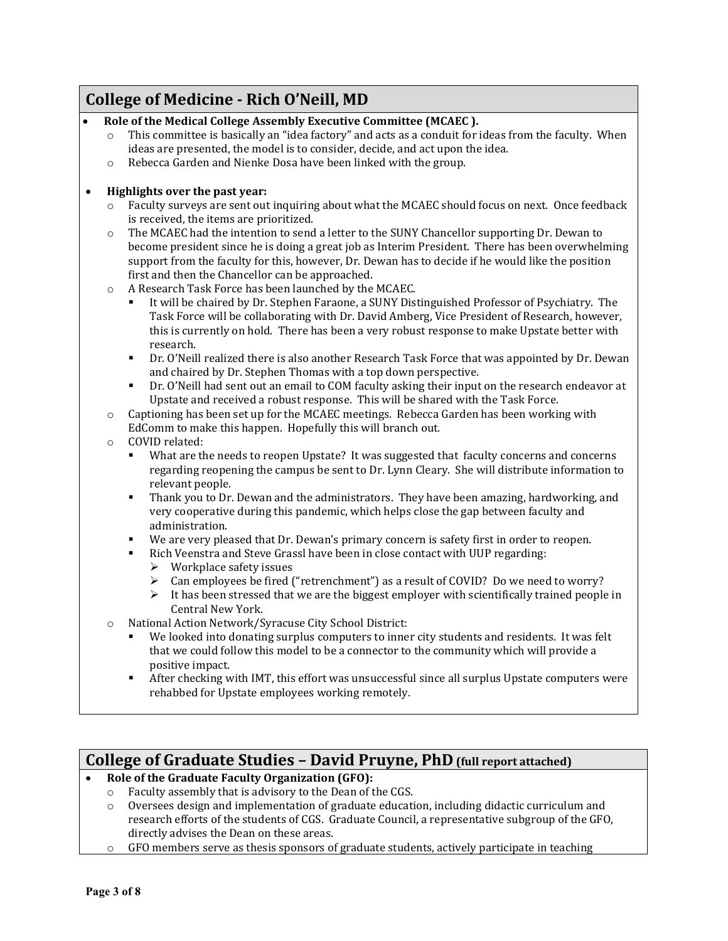# **College of Medicine - Rich O'Neill, MD**

• **Role of the Medical College Assembly Executive Committee (MCAEC ).** 

|          | ideas are presented, the model is to consider, decide, and act upon the idea.                                                                                                                                                                                                                                                                            |
|----------|----------------------------------------------------------------------------------------------------------------------------------------------------------------------------------------------------------------------------------------------------------------------------------------------------------------------------------------------------------|
| $\Omega$ | Rebecca Garden and Nienke Dosa have been linked with the group.                                                                                                                                                                                                                                                                                          |
|          | Highlights over the past year:                                                                                                                                                                                                                                                                                                                           |
| $\circ$  | Faculty surveys are sent out inquiring about what the MCAEC should focus on next. Once feedback<br>is received, the items are prioritized.                                                                                                                                                                                                               |
| $\circ$  | The MCAEC had the intention to send a letter to the SUNY Chancellor supporting Dr. Dewan to<br>become president since he is doing a great job as Interim President. There has been overwhelming<br>support from the faculty for this, however, Dr. Dewan has to decide if he would like the position<br>first and then the Chancellor can be approached. |
| $\circ$  | A Research Task Force has been launched by the MCAEC.                                                                                                                                                                                                                                                                                                    |
|          | It will be chaired by Dr. Stephen Faraone, a SUNY Distinguished Professor of Psychiatry. The<br>٠<br>Task Force will be collaborating with Dr. David Amberg, Vice President of Research, however,<br>this is currently on hold. There has been a very robust response to make Upstate better with<br>research.                                           |
|          | Dr. O'Neill realized there is also another Research Task Force that was appointed by Dr. Dewan<br>$\blacksquare$<br>and chaired by Dr. Stephen Thomas with a top down perspective.                                                                                                                                                                       |
|          | Dr. O'Neill had sent out an email to COM faculty asking their input on the research endeavor at<br>٠<br>Upstate and received a robust response. This will be shared with the Task Force.                                                                                                                                                                 |
| $\circ$  | Captioning has been set up for the MCAEC meetings. Rebecca Garden has been working with<br>EdComm to make this happen. Hopefully this will branch out.                                                                                                                                                                                                   |
| $\circ$  | COVID related:                                                                                                                                                                                                                                                                                                                                           |
|          | What are the needs to reopen Upstate? It was suggested that faculty concerns and concerns<br>$\blacksquare$<br>regarding reopening the campus be sent to Dr. Lynn Cleary. She will distribute information to<br>relevant people.                                                                                                                         |
|          | Thank you to Dr. Dewan and the administrators. They have been amazing, hardworking, and<br>$\blacksquare$<br>very cooperative during this pandemic, which helps close the gap between faculty and<br>administration.                                                                                                                                     |
|          | We are very pleased that Dr. Dewan's primary concern is safety first in order to reopen.<br>$\blacksquare$<br>Rich Veenstra and Steve Grassl have been in close contact with UUP regarding:<br>$\blacksquare$<br>$\triangleright$ Workplace safety issues                                                                                                |
|          | Can employees be fired ("retrenchment") as a result of COVID? Do we need to worry?<br>➤<br>It has been stressed that we are the biggest employer with scientifically trained people in<br>➤<br>Central New York.                                                                                                                                         |
| $\circ$  | National Action Network/Syracuse City School District:                                                                                                                                                                                                                                                                                                   |
|          | We looked into donating surplus computers to inner city students and residents. It was felt<br>٠<br>that we could follow this model to be a connector to the community which will provide a<br>positive impact.                                                                                                                                          |
|          | After checking with IMT, this effort was unsuccessful since all surplus Upstate computers were<br>٠<br>rehabbed for Upstate employees working remotely.                                                                                                                                                                                                  |

 $\circ$  This committee is basically an "idea factory" and acts as a conduit for ideas from the faculty. When

### **College of Graduate Studies – David Pruyne, PhD (full report attached)**

- **Role of the Graduate Faculty Organization (GFO):** 
	- $\circ$  Faculty assembly that is advisory to the Dean of the CGS.<br> $\circ$  Oversees design and implementation of graduate educati
	- Oversees design and implementation of graduate education, including didactic curriculum and research efforts of the students of CGS. Graduate Council, a representative subgroup of the GFO, directly advises the Dean on these areas.
	- o GFO members serve as thesis sponsors of graduate students, actively participate in teaching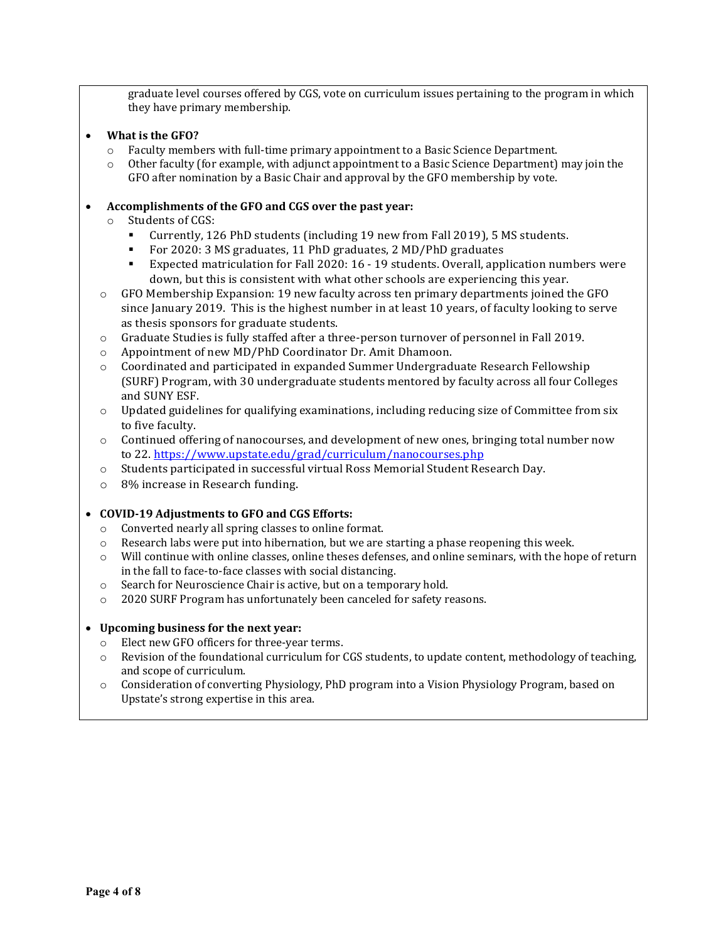graduate level courses offered by CGS, vote on curriculum issues pertaining to the program in which they have primary membership.

#### • **What is the GFO?**

- $\circ$  Faculty members with full-time primary appointment to a Basic Science Department.<br> $\circ$  Other faculty (for example, with adjunct appointment to a Basic Science Department)
- o Other faculty (for example, with adjunct appointment to a Basic Science Department) may join the GFO after nomination by a Basic Chair and approval by the GFO membership by vote.

#### • **Accomplishments of the GFO and CGS over the past year:**

- o Students of CGS:
	- Currently, 126 PhD students (including 19 new from Fall 2019), 5 MS students.
	- For 2020: 3 MS graduates, 11 PhD graduates, 2 MD/PhD graduates
	- Expected matriculation for Fall 2020: 16 19 students. Overall, application numbers were down, but this is consistent with what other schools are experiencing this year.
- o GFO Membership Expansion: 19 new faculty across ten primary departments joined the GFO since January 2019. This is the highest number in at least 10 years, of faculty looking to serve as thesis sponsors for graduate students.
- o Graduate Studies is fully staffed after a three-person turnover of personnel in Fall 2019.
- o Appointment of new MD/PhD Coordinator Dr. Amit Dhamoon.
- o Coordinated and participated in expanded Summer Undergraduate Research Fellowship (SURF) Program, with 30 undergraduate students mentored by faculty across all four Colleges and SUNY ESF.
- $\circ$  Updated guidelines for qualifying examinations, including reducing size of Committee from six to five faculty.
- o Continued offering of nanocourses, and development of new ones, bringing total number now to 22. https:/[/www.upstate.edu/grad/curriculum/nanocourses.php](http://www.upstate.edu/grad/curriculum/nanocourses.php)
- o Students participated in successful virtual Ross Memorial Student Research Day.
- o 8% increase in Research funding.

#### • **COVID-19 Adjustments to GFO and CGS Efforts:**

- $\circ$  Converted nearly all spring classes to online format.<br>  $\circ$  Research labs were put into hibernation, but we are :
- Research labs were put into hibernation, but we are starting a phase reopening this week.
- $\circ$  Will continue with online classes, online theses defenses, and online seminars, with the hope of return in the fall to face-to-face classes with social distancing.
- o Search for Neuroscience Chair is active, but on a temporary hold.
- o 2020 SURF Program has unfortunately been canceled for safety reasons.

#### • **Upcoming business for the next year:**

- o Elect new GFO officers for three-year terms.
- $\circ$  Revision of the foundational curriculum for CGS students, to update content, methodology of teaching, and scope of curriculum.
- o Consideration of converting Physiology, PhD program into a Vision Physiology Program, based on Upstate's strong expertise in this area.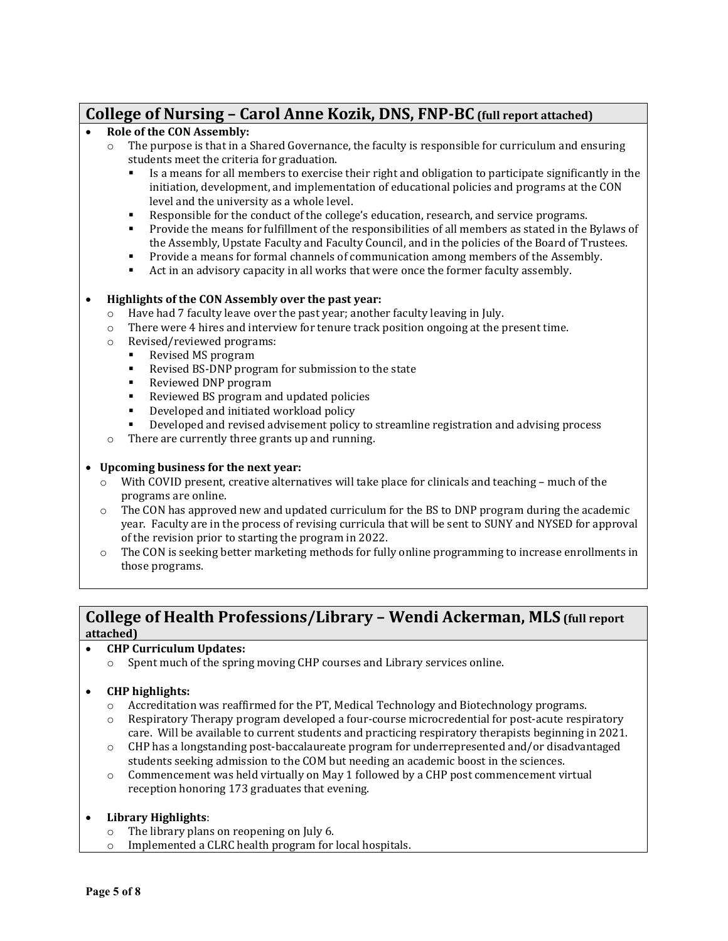### **College of Nursing – Carol Anne Kozik, DNS, FNP-BC (full report attached)**

#### • **Role of the CON Assembly:**

- o The purpose is that in a Shared Governance, the faculty is responsible for curriculum and ensuring students meet the criteria for graduation.
	- Is a means for all members to exercise their right and obligation to participate significantly in the initiation, development, and implementation of educational policies and programs at the CON level and the university as a whole level.
	- Responsible for the conduct of the college's education, research, and service programs.
	- Provide the means for fulfillment of the responsibilities of all members as stated in the Bylaws of the Assembly, Upstate Faculty and Faculty Council, and in the policies of the Board of Trustees.
	- **Provide a means for formal channels of communication among members of the Assembly.**<br>Act in an advisory canacity in all works that were once the former faculty assembly
	- Act in an advisory capacity in all works that were once the former faculty assembly.

#### • **Highlights of the CON Assembly over the past year:**

- o Have had 7 faculty leave over the past year; another faculty leaving in July.
- o There were 4 hires and interview for tenure track position ongoing at the present time.
- o Revised/reviewed programs:
	- Revised MS program<br>Revised BS-DNP prog
	- Revised BS-DNP program for submission to the state<br>Reviewed DNP program
	- Reviewed DNP program<br>Reviewed BS program an
	- Reviewed BS program and updated policies<br>■ Developed and initiated workload policy
	- Developed and initiated workload policy
	- Developed and revised advisement policy to streamline registration and advising process
- o There are currently three grants up and running.

#### • **Upcoming business for the next year:**

- $\circ$  With COVID present, creative alternatives will take place for clinicals and teaching much of the programs are online.
- $\circ$  The CON has approved new and updated curriculum for the BS to DNP program during the academic year. Faculty are in the process of revising curricula that will be sent to SUNY and NYSED for approval of the revision prior to starting the program in 2022.
- $\circ$  The CON is seeking better marketing methods for fully online programming to increase enrollments in those programs.

### **College of Health Professions/Library – Wendi Ackerman, MLS (full report attached)**

- **CHP Curriculum Updates:**
	- o Spent much of the spring moving CHP courses and Library services online.

#### • **CHP highlights:**

- o Accreditation was reaffirmed for the PT, Medical Technology and Biotechnology programs.
- $\circ$  Respiratory Therapy program developed a four-course microcredential for post-acute respiratory care. Will be available to current students and practicing respiratory therapists beginning in 2021.
- $\circ$  CHP has a longstanding post-baccalaureate program for underrepresented and/or disadvantaged students seeking admission to the COM but needing an academic boost in the sciences.
- $\circ$  Commencement was held virtually on May 1 followed by a CHP post commencement virtual reception honoring 173 graduates that evening.

# • **Library Highlights**:

- The library plans on reopening on July 6.
- o Implemented a CLRC health program for local hospitals.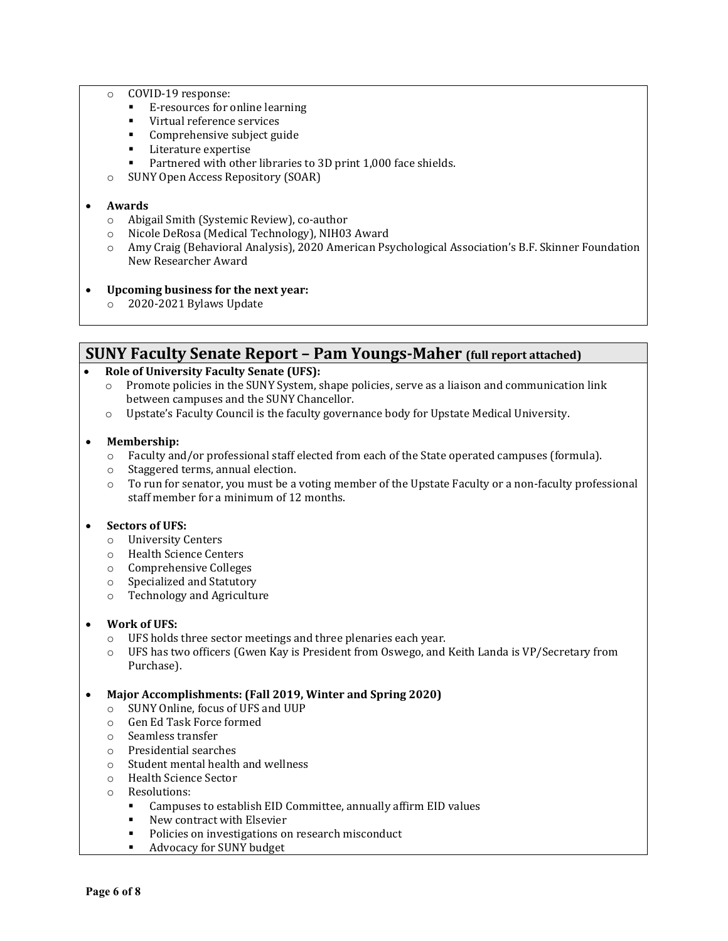- o COVID-19 response:
	- E-resources for online learning
	- Virtual reference services
	- **Comprehensive subject guide**<br>Literature expertise
	- Literature expertise<br>■ Partnered with other
	- Partnered with other libraries to 3D print 1,000 face shields.
- o SUNY Open Access Repository (SOAR)

#### • **Awards**

- o Abigail Smith (Systemic Review), co-author
- o Nicole DeRosa (Medical Technology), NIH03 Award
- Amy Craig (Behavioral Analysis), 2020 American Psychological Association's B.F. Skinner Foundation New Researcher Award
- **Upcoming business for the next year:**
	- o 2020-2021 Bylaws Update

### **SUNY Faculty Senate Report – Pam Youngs-Maher (full report attached)**

#### • **Role of University Faculty Senate (UFS):**

- $\circ$  Promote policies in the SUNY System, shape policies, serve as a liaison and communication link between campuses and the SUNY Chancellor.
- o Upstate's Faculty Council is the faculty governance body for Upstate Medical University.

#### • **Membership:**

- o Faculty and/or professional staff elected from each of the State operated campuses (formula).
- Staggered terms, annual election.
- $\circ$  To run for senator, you must be a voting member of the Upstate Faculty or a non-faculty professional staff member for a minimum of 12 months.

#### • **Sectors of UFS:**

- o University Centers
- o Health Science Centers
- o Comprehensive Colleges
- o Specialized and Statutory
- o Technology and Agriculture

#### • **Work of UFS:**

- o UFS holds three sector meetings and three plenaries each year.
- o UFS has two officers (Gwen Kay is President from Oswego, and Keith Landa is VP/Secretary from Purchase).

#### • **Major Accomplishments: (Fall 2019, Winter and Spring 2020)**

- $\circ$  SUNY Online, focus of UFS and UUP<br> $\circ$  Gen Ed Task Force formed
- Gen Ed Task Force formed
- o Seamless transfer
- o Presidential searches
- o Student mental health and wellness
- o Health Science Sector
- o Resolutions:
	- Campuses to establish EID Committee, annually affirm EID values<br>■ New contract with Elsevier
	- New contract with Elsevier
	- **Policies on investigations on research misconduct**
	- Advocacy for SUNY budget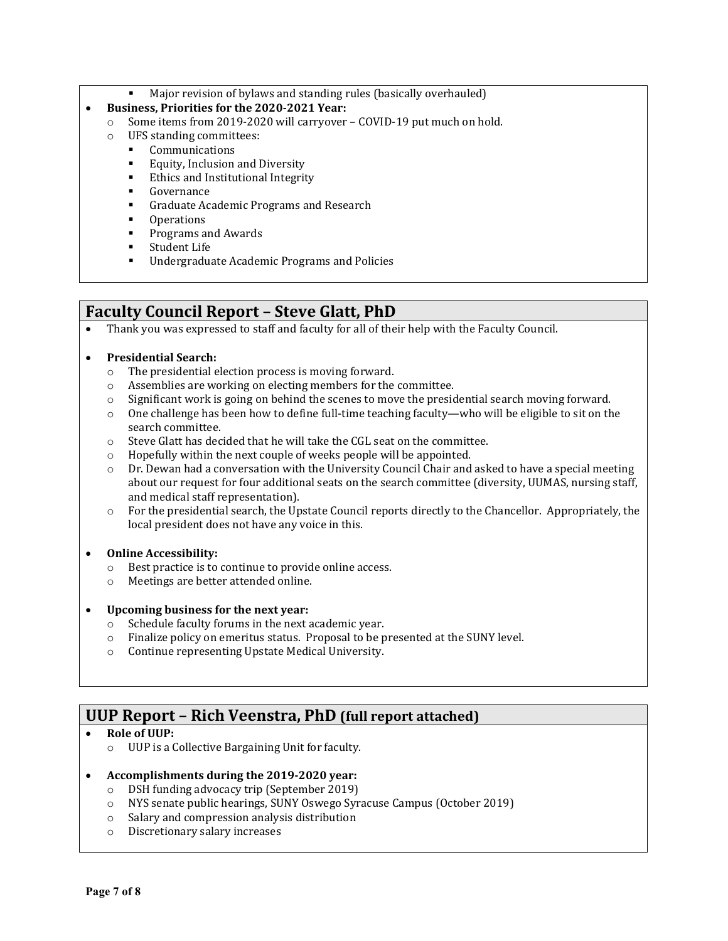Major revision of bylaws and standing rules (basically overhauled)

### • **Business, Priorities for the 2020-2021 Year:**

- o Some items from 2019-2020 will carryover COVID-19 put much on hold.
- o UFS standing committees:
	- Communications
	- **Equity, Inclusion and Diversity**<br>**Explorer Exhics** and Institutional Integrity
	- Ethics and Institutional Integrity
	- **Governance**
	- **Graduate Academic Programs and Research**
	- **•** Operations
	- **Programs and Awards**<br>**Student Life**
	- Student Life
	- **■** Undergraduate Academic Programs and Policies

# **Faculty Council Report – Steve Glatt, PhD**

• Thank you was expressed to staff and faculty for all of their help with the Faculty Council.

### • **Presidential Search:**

- $\circ$  The presidential election process is moving forward.<br>  $\circ$  Assemblies are working on electing members for the
- Assemblies are working on electing members for the committee.
- $\circ$  Significant work is going on behind the scenes to move the presidential search moving forward.
- $\circ$  One challenge has been how to define full-time teaching faculty—who will be eligible to sit on the search committee.
- o Steve Glatt has decided that he will take the CGL seat on the committee.
- o Hopefully within the next couple of weeks people will be appointed.
- $\circ$  Dr. Dewan had a conversation with the University Council Chair and asked to have a special meeting about our request for four additional seats on the search committee (diversity, UUMAS, nursing staff, and medical staff representation).
- o For the presidential search, the Upstate Council reports directly to the Chancellor. Appropriately, the local president does not have any voice in this.

### • **Online Accessibility:**

- o Best practice is to continue to provide online access.
- o Meetings are better attended online.

### • **Upcoming business for the next year:**

- o Schedule faculty forums in the next academic year.
- o Finalize policy on emeritus status. Proposal to be presented at the SUNY level.
- o Continue representing Upstate Medical University.

# **UUP Report – Rich Veenstra, PhD (full report attached)**

### • **Role of UUP:**

o UUP is a Collective Bargaining Unit for faculty.

### • **Accomplishments during the 2019-2020 year:**

- o DSH funding advocacy trip (September 2019)
- o NYS senate public hearings, SUNY Oswego Syracuse Campus (October 2019)
- o Salary and compression analysis distribution
- o Discretionary salary increases